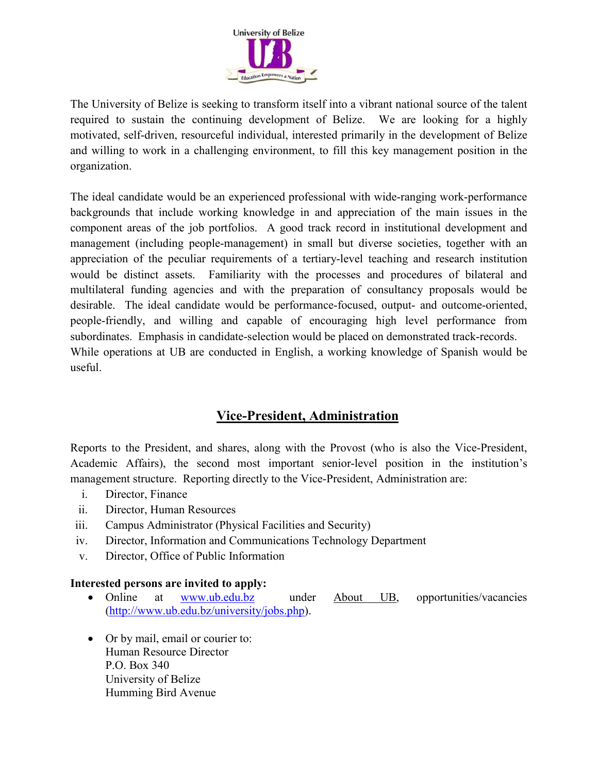

The University of Belize is seeking to transform itself into a vibrant national source of the talent required to sustain the continuing development of Belize. We are looking for a highly motivated, self-driven, resourceful individual, interested primarily in the development of Belize and willing to work in a challenging environment, to fill this key management position in the organization.

The ideal candidate would be an experienced professional with wide-ranging work-performance backgrounds that include working knowledge in and appreciation of the main issues in the component areas of the job portfolios. A good track record in institutional development and management (including people-management) in small but diverse societies, together with an appreciation of the peculiar requirements of a tertiary-level teaching and research institution would be distinct assets. Familiarity with the processes and procedures of bilateral and multilateral funding agencies and with the preparation of consultancy proposals would be desirable. The ideal candidate would be performance-focused, output- and outcome-oriented, people-friendly, and willing and capable of encouraging high level performance from subordinates. Emphasis in candidate-selection would be placed on demonstrated track-records. While operations at UB are conducted in English, a working knowledge of Spanish would be useful.

## **Vice-President, Administration**

Reports to the President, and shares, along with the Provost (who is also the Vice-President, Academic Affairs), the second most important senior-level position in the institution's management structure. Reporting directly to the Vice-President, Administration are:

- i. Director, Finance
- ii. Director, Human Resources
- iii. Campus Administrator (Physical Facilities and Security)
- iv. Director, Information and Communications Technology Department
- v. Director, Office of Public Information

## **Interested persons are invited to apply:**

- Online at www.ub.edu.bz under About UB, opportunities/vacancies (http://www.ub.edu.bz/university/jobs.php).
- Or by mail, email or courier to: Human Resource Director P.O. Box 340 University of Belize Humming Bird Avenue